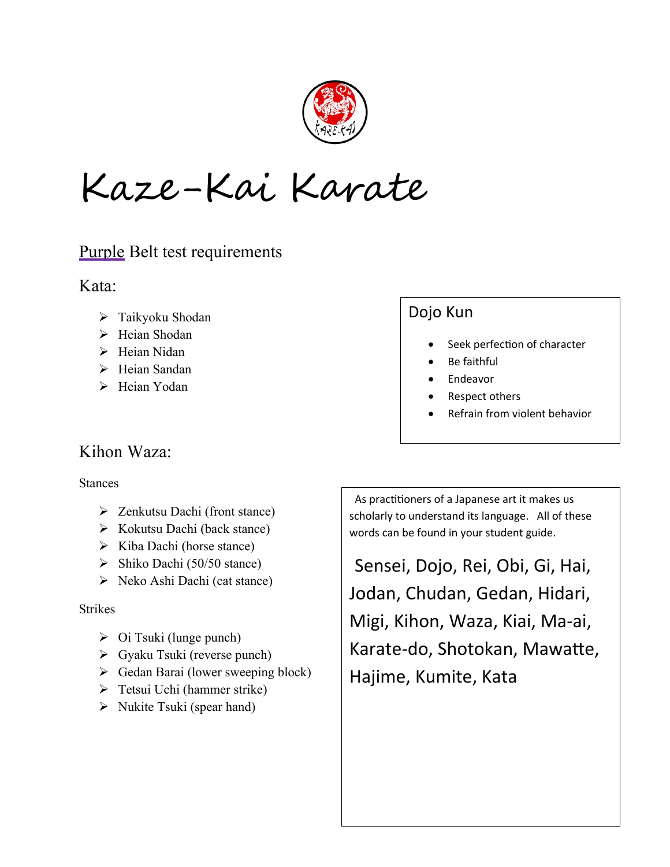

Kaze-Kai Karate

## Purple Belt test requirements

Kata:

- Taikyoku Shodan
- > Heian Shodan
- $\triangleright$  Heian Nidan
- > Heian Sandan
- > Heian Yodan

## Kihon Waza:

#### Stances

- > Zenkutsu Dachi (front stance)
- $\triangleright$  Kokutsu Dachi (back stance)
- $\triangleright$  Kiba Dachi (horse stance)
- $\triangleright$  Shiko Dachi (50/50 stance)
- Neko Ashi Dachi (cat stance)

#### Strikes

- $\triangleright$  Oi Tsuki (lunge punch)
- Gyaku Tsuki (reverse punch)
- $\triangleright$  Gedan Barai (lower sweeping block)
- Tetsui Uchi (hammer strike)
- $\triangleright$  Nukite Tsuki (spear hand)

# Dojo Kun

- Seek perfection of character
- Be faithful
- Endeavor
- Respect others
- Refrain from violent behavior

 As practitioners of a Japanese art it makes us scholarly to understand its language. All of these words can be found in your student guide.

 Sensei, Dojo, Rei, Obi, Gi, Hai, Jodan, Chudan, Gedan, Hidari, Migi, Kihon, Waza, Kiai, Ma-ai, Karate-do, Shotokan, Mawatte, Hajime, Kumite, Kata